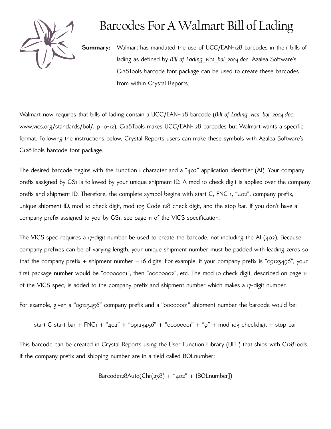

## Barcodes For A Walmart Bill of Lading

**Summary:** Walmart has mandated the use of UCC/EAN-128 barcodes in their bills of lading as defined by *[Bill of Lading\\_vics\\_bol\\_2004.doc](http://www.vics.org/standards/bol/)*. Azalea Software's C128Tools barcode font package can be used to create these barcodes from within Crystal Reports.

Walmart now requires that bills of lading contain a UCC/EAN-128 barcode (*[Bill of Lading\\_vics\\_bol\\_2004.doc](http://www.vics.org/standards/bol/)*, [www.vics.org/standards/bol/,](http://www.vics.org/standards/bol/) p 10-12). [C128Tools](http://www.azalea.com/Code128) makes UCC/EAN-128 barcodes but Walmart wants a specific format. Following the instructions below, [Crystal Reports users](http://www.azalea.com/CrystalReports) can make these symbols with Azalea Software's [C128Tools barcode font package.](http://www.azalea.com/Code128)

The desired barcode begins with the Function 1 character and a "402" application identifier (AI). Your company prefix assigned by GS1 is followed by your unique shipment ID. A mod 10 check digit is applied over the company prefix and shipment ID. Therefore, the complete symbol begins with start C, FNC 1, "402", company prefix, unique shipment ID, mod 10 check digit, mod 103 Code 128 check digit, and the stop bar. If you don't have a company prefix assigned to you by GS1, see page 11 of the VICS specification.

The VICS spec requires a 17-digit number be used to create the barcode, not including the AI (402). Because company prefixes can be of varying length, your unique shipment number must be padded with leading zeros so that the company prefix + shipment number = 16 digits. For example, if your company prefix is "09123456", your first package number would be "00000001", then "00000002", etc. The mod 10 check digit, described on page 11 of the VICS spec, is added to the company prefix and shipment number which makes a 17-digit number.

For example, given a "09123456" company prefix and a "00000001" shipment number the barcode would be:

start C start bar + FNC1 + "402" + "09123456" + "00000001" + "9" + mod 103 checkdigit + stop bar

This barcode can be created in Crystal Reports using the User Function Library (UFL) that ships with C128Tools. If the company prefix and shipping number are in a field called BOLnumber:

 $Barcode:28Auto(Chr(238) + "402" + {BOLnumber})$